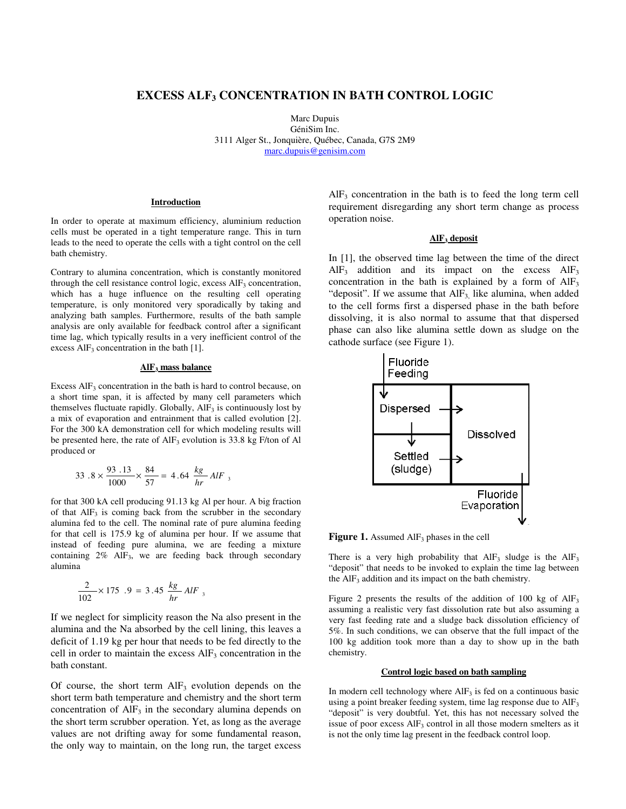# **EXCESS ALF3 CONCENTRATION IN BATH CONTROL LOGIC**

Marc Dupuis GéniSim Inc. 3111 Alger St., Jonquière, Québec, Canada, G7S 2M9 marc.dupuis@genisim.com

## **Introduction**

In order to operate at maximum efficiency, aluminium reduction cells must be operated in a tight temperature range. This in turn leads to the need to operate the cells with a tight control on the cell bath chemistry.

Contrary to alumina concentration, which is constantly monitored through the cell resistance control logic, excess  $\text{AlF}_3$  concentration, which has a huge influence on the resulting cell operating temperature, is only monitored very sporadically by taking and analyzing bath samples. Furthermore, results of the bath sample analysis are only available for feedback control after a significant time lag, which typically results in a very inefficient control of the excess  $\text{AlF}_3$  concentration in the bath [1].

#### **AlF 3 mass balance**

Excess  $\text{AlF}_3$  concentration in the bath is hard to control because, on a short time span, it is affected by many cell parameters which themselves fluctuate rapidly. Globally,  $\text{AlF}_3$  is continuously lost by a mix of evaporation and entrainment that is called evolution [2]. For the 300 kA demonstration cell for which modeling results will be presented here, the rate of  $\text{AlF}_3$  evolution is 33.8 kg F/ton of Al produced or

$$
33.8 \times \frac{93.13}{1000} \times \frac{84}{57} = 4.64 \frac{kg}{hr} AlF_{3}
$$

for that 300 kA cell producing 91.13 kg Al per hour. A big fraction of that  $AIF_3$  is coming back from the scrubber in the secondary alumina fed to the cell. The nominal rate of pure alumina feeding for that cell is 175.9 kg of alumina per hour. If we assume that instead of feeding pure alumina, we are feeding a mixture containing 2% AlF<sup>3</sup> , we are feeding back through secondary alumina

$$
\frac{2}{102} \times 175 .9 = 3.45 \frac{kg}{hr} AlF_3
$$

If we neglect for simplicity reason the Na also present in the alumina and the Na absorbed by the cell lining, this leaves a deficit of 1.19 kg per hour that needs to be fed directly to the cell in order to maintain the excess  $\text{AlF}_3$  concentration in the bath constant.

Of course, the short term  $AIF_3$  evolution depends on the short term bath temperature and chemistry and the short term concentration of  $\text{AIF}_3$  in the secondary alumina depends on the short term scrubber operation. Yet, as long as the average values are not drifting away for some fundamental reason, the only way to maintain, on the long run, the target excess

 $\text{AlF}_3$  concentration in the bath is to feed the long term cell requirement disregarding any short term change as process operation noise.

#### **AlF<sup>3</sup> deposit**

In [1], the observed time lag between the time of the direct  $AlF<sub>3</sub>$  addition and its impact on the excess  $AlF<sub>3</sub>$ concentration in the bath is explained by a form of  $\text{AlF}_3$ "deposit". If we assume that  $AIF_3$  like alumina, when added to the cell forms first a dispersed phase in the bath before dissolving, it is also normal to assume that that dispersed phase can also like alumina settle down as sludge on the cathode surface (see Figure 1).



**Figure 1.** Assumed  $\text{AlF}_3$  phases in the cell

There is a very high probability that  $\text{AlF}_3$  sludge is the  $\text{AlF}_3$ "deposit" that needs to be invoked to explain the time lag between the  $\text{AlF}_3$  addition and its impact on the bath chemistry.

Figure 2 presents the results of the addition of 100 kg of  $\text{AlF}_3$ assuming a realistic very fast dissolution rate but also assuming a very fast feeding rate and a sludge back dissolution efficiency of 5%. In such conditions, we can observe that the full impact of the 100 kg addition took more than a day to show up in the bath chemistry.

#### **Control logic based on bath sampling**

In modern cell technology where  $\text{AIF}_3$  is fed on a continuous basic using a point breaker feeding system, time lag response due to AlF<sub>3</sub> "deposit" is very doubtful. Yet, this has not necessary solved the issue of poor excess  $\text{AlF}_3$  control in all those modern smelters as it is not the only time lag present in the feedback control loop.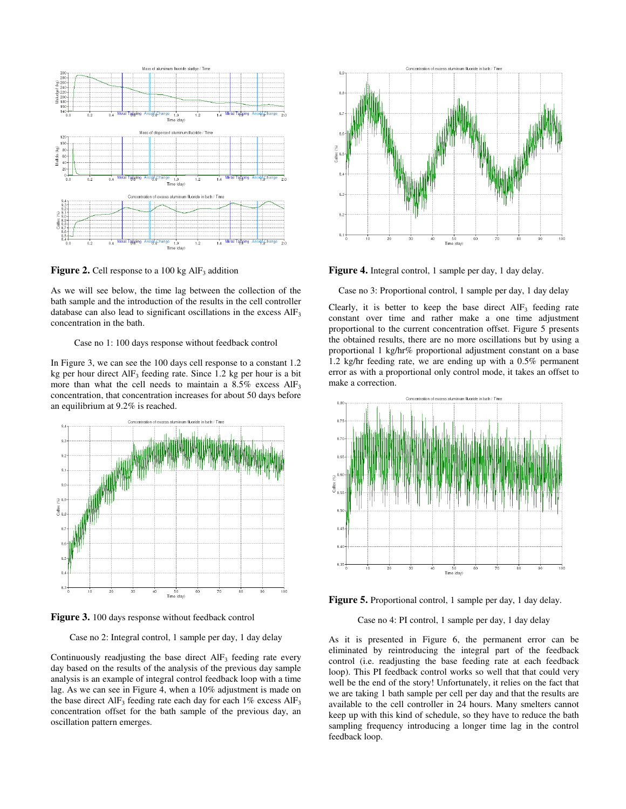

**Figure 2.** Cell response to a  $100 \text{ kg AlF}_3$  addition

As we will see below, the time lag between the collection of the bath sample and the introduction of the results in the cell controller database can also lead to significant oscillations in the excess  $\text{AlF}_3$ concentration in the bath.

#### Case no 1: 100 days response without feedback control

In Figure 3, we can see the 100 days cell response to a constant 1.2 kg per hour direct  $\text{AlF}_3$  feeding rate. Since 1.2 kg per hour is a bit more than what the cell needs to maintain a  $8.5\%$  excess  $\text{AlF}_3$ concentration, that concentration increases for about 50 days before an equilibrium at 9.2% is reached.



Figure 3. 100 days response without feedback control

Case no 2: Integral control, 1 sample per day, 1 day delay

Continuously readjusting the base direct  $AIF_3$  feeding rate every day based on the results of the analysis of the previous day sample analysis is an example of integral control feedback loop with a time lag. As we can see in Figure 4, when a 10% adjustment is made on the base direct  $\text{AIF}_3$  feeding rate each day for each 1% excess  $\text{AIF}_3$ concentration offset for the bath sample of the previous day, an oscillation pattern emerges.



**Figure 4.** Integral control, 1 sample per day, 1 day delay.

Case no 3: Proportional control, 1 sample per day, 1 day delay

Clearly, it is better to keep the base direct  $AIF_3$  feeding rate constant over time and rather make a one time adjustment proportional to the current concentration offset. Figure 5 presents the obtained results, there are no more oscillations but by using a proportional 1 kg/hr% proportional adjustment constant on a base 1.2 kg/hr feeding rate, we are ending up with a 0.5% permanent error as with a proportional only control mode, it takes an offset to make a correction.



**Figure 5.** Proportional control, 1 sample per day, 1 day delay.

#### Case no 4: PI control, 1 sample per day, 1 day delay

As it is presented in Figure 6, the permanent error can be eliminated by reintroducing the integral part of the feedback control (i.e. readjusting the base feeding rate at each feedback loop). This PI feedback control works so well that that could very well be the end of the story! Unfortunately, it relies on the fact that we are taking 1 bath sample per cell per day and that the results are available to the cell controller in 24 hours. Many smelters cannot keep up with this kind of schedule, so they have to reduce the bath sampling frequency introducing a longer time lag in the control feedback loop.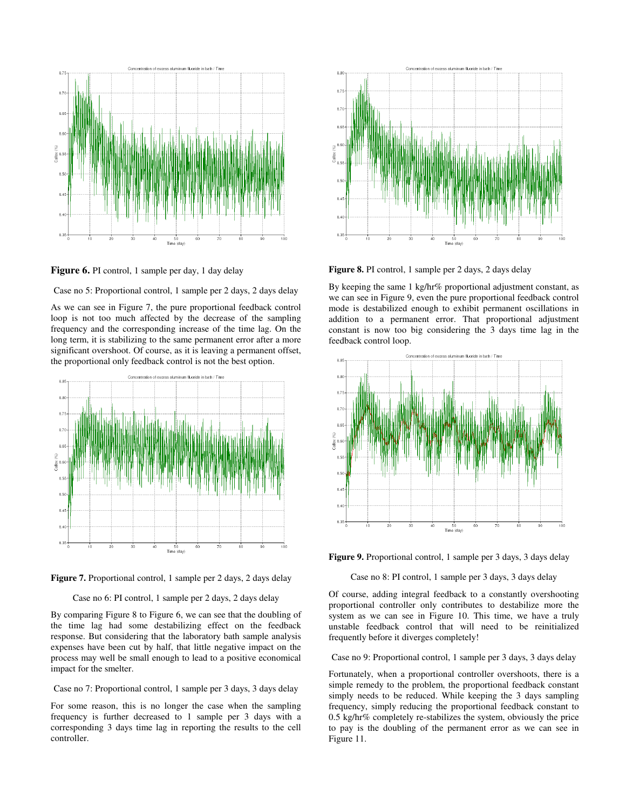

Figure 6. PI control, 1 sample per day, 1 day delay

Case no 5: Proportional control, 1 sample per 2 days, 2 days delay

As we can see in Figure 7, the pure proportional feedback control loop is not too much affected by the decrease of the sampling frequency and the corresponding increase of the time lag. On the long term, it is stabilizing to the same permanent error after a more significant overshoot. Of course, as it is leaving a permanent offset, the proportional only feedback control is not the best option.





Case no 6: PI control, 1 sample per 2 days, 2 days delay

By comparing Figure 8 to Figure 6, we can see that the doubling of the time lag had some destabilizing effect on the feedback response. But considering that the laboratory bath sample analysis expenses have been cut by half, that little negative impact on the process may well be small enough to lead to a positive economical impact for the smelter.

Case no 7: Proportional control, 1 sample per 3 days, 3 days delay

For some reason, this is no longer the case when the sampling frequency is further decreased to 1 sample per 3 days with a corresponding 3 days time lag in reporting the results to the cell controller.



**Figure 8.** PI control, 1 sample per 2 days, 2 days delay

By keeping the same 1 kg/hr% proportional adjustment constant, as we can see in Figure 9, even the pure proportional feedback control mode is destabilized enough to exhibit permanent oscillations in addition to a permanent error. That proportional adjustment constant is now too big considering the 3 days time lag in the feedback control loop.



**Figure 9.** Proportional control, 1 sample per 3 days, 3 days delay

Case no 8: PI control, 1 sample per 3 days, 3 days delay

Of course, adding integral feedback to a constantly overshooting proportional controller only contributes to destabilize more the system as we can see in Figure 10. This time, we have a truly unstable feedback control that will need to be reinitialized frequently before it diverges completely!

Case no 9: Proportional control, 1 sample per 3 days, 3 days delay

Fortunately, when a proportional controller overshoots, there is a simple remedy to the problem, the proportional feedback constant simply needs to be reduced. While keeping the 3 days sampling frequency, simply reducing the proportional feedback constant to 0.5 kg/hr% completely re-stabilizes the system, obviously the price to pay is the doubling of the permanent error as we can see in Figure 11.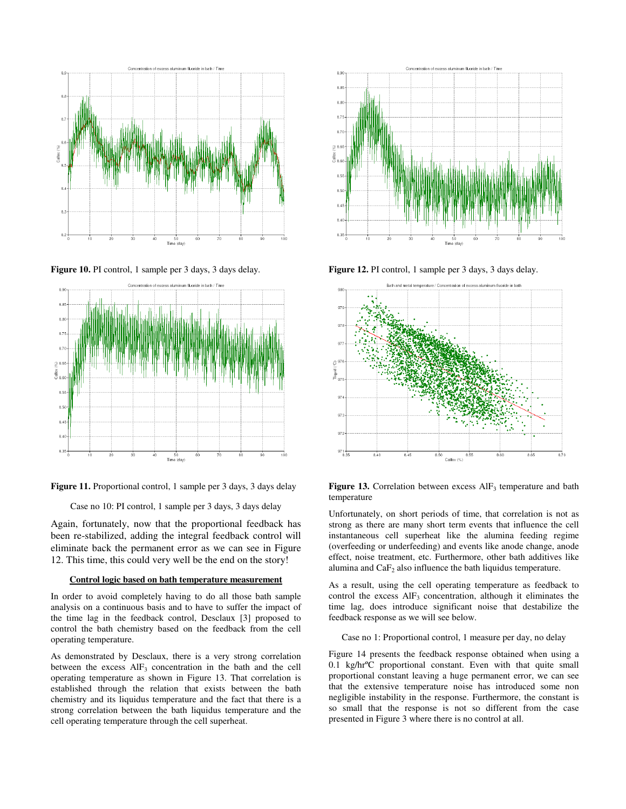

**Figure 10.** PI control, 1 sample per 3 days, 3 days delay.





Case no 10: PI control, 1 sample per 3 days, 3 days delay

Again, fortunately, now that the proportional feedback has been re-stabilized, adding the integral feedback control will eliminate back the permanent error as we can see in Figure 12. This time, this could very well be the end on the story!

#### **Control logic based on bath temperature measurement**

In order to avoid completely having to do all those bath sample analysis on a continuous basis and to have to suffer the impact of the time lag in the feedback control, Desclaux [3] proposed to control the bath chemistry based on the feedback from the cell operating temperature.

As demonstrated by Desclaux, there is a very strong correlation between the excess  $\text{AlF}_3$  concentration in the bath and the cell operating temperature as shown in Figure 13. That correlation is established through the relation that exists between the bath chemistry and its liquidus temperature and the fact that there is a strong correlation between the bath liquidus temperature and the cell operating temperature through the cell superheat.



**Figure 12.** PI control, 1 sample per 3 days, 3 days delay.



**Figure 13.** Correlation between excess  $\text{AlF}_3$  temperature and bath temperature

Unfortunately, on short periods of time, that correlation is not as strong as there are many short term events that influence the cell instantaneous cell superheat like the alumina feeding regime (overfeeding or underfeeding) and events like anode change, anode effect, noise treatment, etc. Furthermore, other bath additives like alumina and  $CaF<sub>2</sub>$  also influence the bath liquidus temperature.

As a result, using the cell operating temperature as feedback to control the excess  $\text{AlF}_3$  concentration, although it eliminates the time lag, does introduce significant noise that destabilize the feedback response as we will see below.

Case no 1: Proportional control, 1 measure per day, no delay

Figure 14 presents the feedback response obtained when using a 0.1 kg/hrºC proportional constant. Even with that quite small proportional constant leaving a huge permanent error, we can see that the extensive temperature noise has introduced some non negligible instability in the response. Furthermore, the constant is so small that the response is not so different from the case presented in Figure 3 where there is no control at all.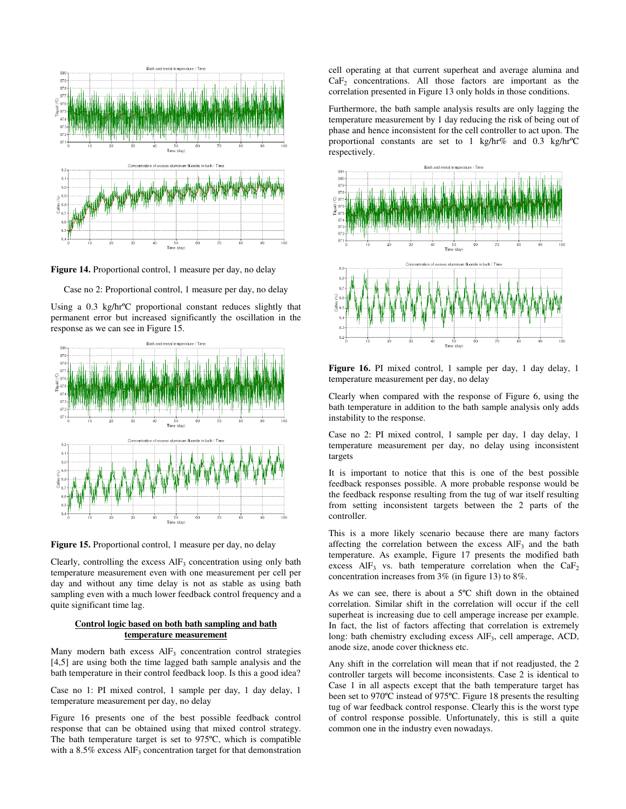

**Figure 14.** Proportional control, 1 measure per day, no delay

Case no 2: Proportional control, 1 measure per day, no delay

Using a 0.3 kg/hrºC proportional constant reduces slightly that permanent error but increased significantly the oscillation in the response as we can see in Figure 15.



**Figure 15.** Proportional control, 1 measure per day, no delay

Clearly, controlling the excess  $\text{AlF}_3$  concentration using only bath temperature measurement even with one measurement per cell per day and without any time delay is not as stable as using bath sampling even with a much lower feedback control frequency and a quite significant time lag.

## **Control logic based on both bath sampling and bath temperature measurement**

Many modern bath excess AlF<sub>3</sub> concentration control strategies [4,5] are using both the time lagged bath sample analysis and the bath temperature in their control feedback loop. Is this a good idea?

Case no 1: PI mixed control, 1 sample per day, 1 day delay, 1 temperature measurement per day, no delay

Figure 16 presents one of the best possible feedback control response that can be obtained using that mixed control strategy. The bath temperature target is set to 975ºC, which is compatible with a  $8.5\%$  excess  $\text{AlF}_3$  concentration target for that demonstration cell operating at that current superheat and average alumina and  $CaF<sub>2</sub>$  concentrations. All those factors are important as the correlation presented in Figure 13 only holds in those conditions.

Furthermore, the bath sample analysis results are only lagging the temperature measurement by 1 day reducing the risk of being out of phase and hence inconsistent for the cell controller to act upon. The proportional constants are set to 1 kg/hr% and 0.3 kg/hrºC respectively.



**Figure 16.** PI mixed control, 1 sample per day, 1 day delay, 1 temperature measurement per day, no delay

Clearly when compared with the response of Figure 6, using the bath temperature in addition to the bath sample analysis only adds instability to the response.

Case no 2: PI mixed control, 1 sample per day, 1 day delay, 1 temperature measurement per day, no delay using inconsistent targets

It is important to notice that this is one of the best possible feedback responses possible. A more probable response would be the feedback response resulting from the tug of war itself resulting from setting inconsistent targets between the 2 parts of the controller.

This is a more likely scenario because there are many factors affecting the correlation between the excess  $\text{AlF}_3$  and the bath temperature. As example, Figure 17 presents the modified bath excess  $AIF_3$  vs. bath temperature correlation when the  $CaF_2$ concentration increases from 3% (in figure 13) to 8%.

As we can see, there is about a 5ºC shift down in the obtained correlation. Similar shift in the correlation will occur if the cell superheat is increasing due to cell amperage increase per example. In fact, the list of factors affecting that correlation is extremely long: bath chemistry excluding excess AlF<sub>3</sub>, cell amperage, ACD, anode size, anode cover thickness etc.

Any shift in the correlation will mean that if not readjusted, the 2 controller targets will become inconsistents. Case 2 is identical to Case 1 in all aspects except that the bath temperature target has been set to 970ºC instead of 975ºC. Figure 18 presents the resulting tug of war feedback control response. Clearly this is the worst type of control response possible. Unfortunately, this is still a quite common one in the industry even nowadays.